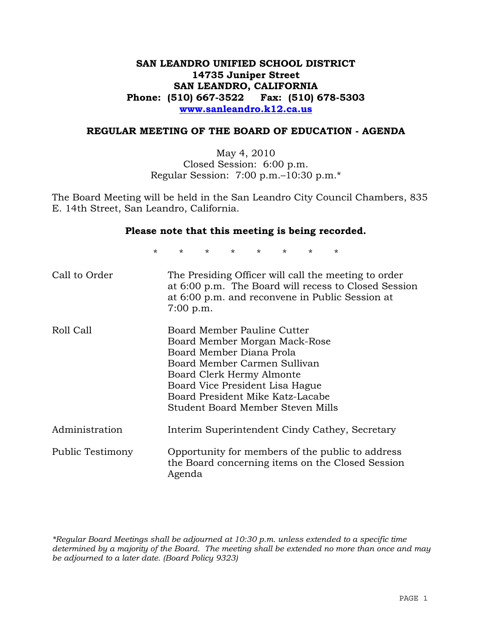### **SAN LEANDRO UNIFIED SCHOOL DISTRICT 14735 Juniper Street SAN LEANDRO, CALIFORNIA Phone: (510) 667-3522 Fax: (510) 678-5303 www.sanleandro.k12.ca.us**

#### **REGULAR MEETING OF THE BOARD OF EDUCATION - AGENDA**

May 4, 2010 Closed Session: 6:00 p.m. Regular Session: 7:00 p.m.–10:30 p.m.\*

The Board Meeting will be held in the San Leandro City Council Chambers, 835 E. 14th Street, San Leandro, California.

#### **Please note that this meeting is being recorded.**

\* \* \* \* \* \* \* \*

| Call to Order    | The Presiding Officer will call the meeting to order<br>at 6:00 p.m. The Board will recess to Closed Session<br>at 6:00 p.m. and reconvene in Public Session at<br>$7:00$ p.m.                                                                                    |
|------------------|-------------------------------------------------------------------------------------------------------------------------------------------------------------------------------------------------------------------------------------------------------------------|
| Roll Call        | Board Member Pauline Cutter<br>Board Member Morgan Mack-Rose<br>Board Member Diana Prola<br>Board Member Carmen Sullivan<br>Board Clerk Hermy Almonte<br>Board Vice President Lisa Hague<br>Board President Mike Katz-Lacabe<br>Student Board Member Steven Mills |
| Administration   | Interim Superintendent Cindy Cathey, Secretary                                                                                                                                                                                                                    |
| Public Testimony | Opportunity for members of the public to address<br>the Board concerning items on the Closed Session<br>Agenda                                                                                                                                                    |

*\*Regular Board Meetings shall be adjourned at 10:30 p.m. unless extended to a specific time determined by a majority of the Board. The meeting shall be extended no more than once and may be adjourned to a later date. (Board Policy 9323)*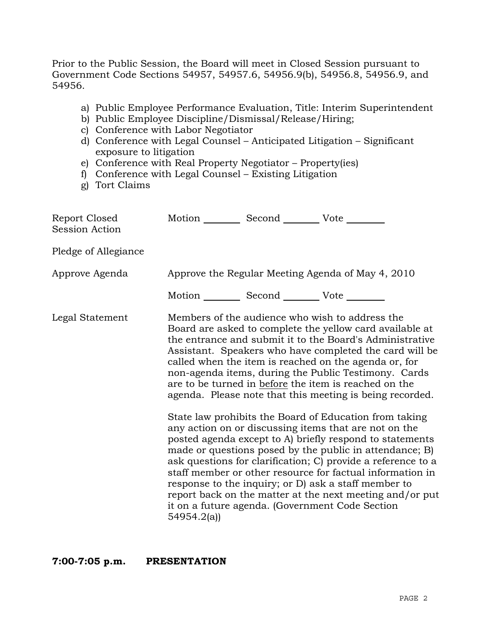Prior to the Public Session, the Board will meet in Closed Session pursuant to Government Code Sections 54957, 54957.6, 54956.9(b), 54956.8, 54956.9, and 54956.

- a) Public Employee Performance Evaluation, Title: Interim Superintendent
- b) Public Employee Discipline/Dismissal/Release/Hiring;
- c) Conference with Labor Negotiator
- d) Conference with Legal Counsel Anticipated Litigation Significant exposure to litigation
- e) Conference with Real Property Negotiator Property(ies)
- f) Conference with Legal Counsel Existing Litigation
- g) Tort Claims

| Report Closed<br><b>Session Action</b> | Motion __________ Second __________ Vote ________     |                                                                                                                                                                                                                                                                                                                                                                                                                                                                                                                                                                                                                                                                                                                                                                                                                                                                                                                                                                                                                        |
|----------------------------------------|-------------------------------------------------------|------------------------------------------------------------------------------------------------------------------------------------------------------------------------------------------------------------------------------------------------------------------------------------------------------------------------------------------------------------------------------------------------------------------------------------------------------------------------------------------------------------------------------------------------------------------------------------------------------------------------------------------------------------------------------------------------------------------------------------------------------------------------------------------------------------------------------------------------------------------------------------------------------------------------------------------------------------------------------------------------------------------------|
| Pledge of Allegiance                   |                                                       |                                                                                                                                                                                                                                                                                                                                                                                                                                                                                                                                                                                                                                                                                                                                                                                                                                                                                                                                                                                                                        |
| Approve Agenda                         |                                                       | Approve the Regular Meeting Agenda of May 4, 2010                                                                                                                                                                                                                                                                                                                                                                                                                                                                                                                                                                                                                                                                                                                                                                                                                                                                                                                                                                      |
|                                        | Motion ___________ Second ____________ Vote _________ |                                                                                                                                                                                                                                                                                                                                                                                                                                                                                                                                                                                                                                                                                                                                                                                                                                                                                                                                                                                                                        |
| Legal Statement                        | 54954.2(a)                                            | Members of the audience who wish to address the<br>Board are asked to complete the yellow card available at<br>the entrance and submit it to the Board's Administrative<br>Assistant. Speakers who have completed the card will be<br>called when the item is reached on the agenda or, for<br>non-agenda items, during the Public Testimony. Cards<br>are to be turned in before the item is reached on the<br>agenda. Please note that this meeting is being recorded.<br>State law prohibits the Board of Education from taking<br>any action on or discussing items that are not on the<br>posted agenda except to A) briefly respond to statements<br>made or questions posed by the public in attendance; B)<br>ask questions for clarification; C) provide a reference to a<br>staff member or other resource for factual information in<br>response to the inquiry; or D) ask a staff member to<br>report back on the matter at the next meeting and/or put<br>it on a future agenda. (Government Code Section |

#### **7:00-7:05 p.m. PRESENTATION**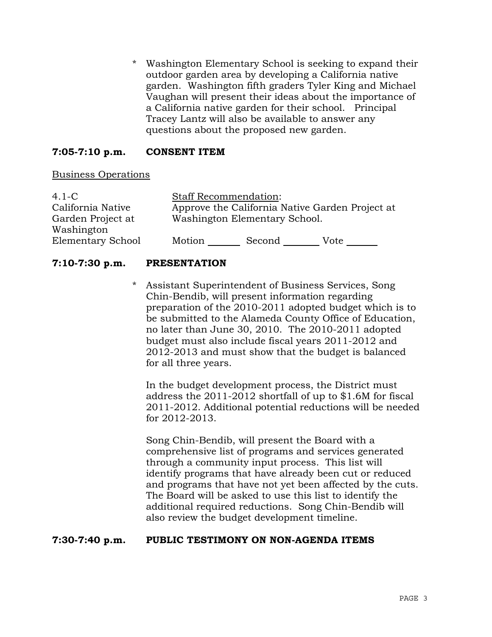\* Washington Elementary School is seeking to expand their outdoor garden area by developing a California native garden. Washington fifth graders Tyler King and Michael Vaughan will present their ideas about the importance of a California native garden for their school. Principal Tracey Lantz will also be available to answer any questions about the proposed new garden.

### **7:05-7:10 p.m. CONSENT ITEM**

### Business Operations

| $4.1-C$           | <b>Staff Recommendation:</b>                    |        |      |
|-------------------|-------------------------------------------------|--------|------|
| California Native | Approve the California Native Garden Project at |        |      |
| Garden Project at | Washington Elementary School.                   |        |      |
| Washington        |                                                 |        |      |
| Elementary School | Motion                                          | Second | Vote |

### **7:10-7:30 p.m. PRESENTATION**

\* Assistant Superintendent of Business Services, Song Chin-Bendib, will present information regarding preparation of the 2010-2011 adopted budget which is to be submitted to the Alameda County Office of Education, no later than June 30, 2010. The 2010-2011 adopted budget must also include fiscal years 2011-2012 and 2012-2013 and must show that the budget is balanced for all three years.

 In the budget development process, the District must address the 2011-2012 shortfall of up to \$1.6M for fiscal 2011-2012. Additional potential reductions will be needed for 2012-2013.

 Song Chin-Bendib, will present the Board with a comprehensive list of programs and services generated through a community input process. This list will identify programs that have already been cut or reduced and programs that have not yet been affected by the cuts. The Board will be asked to use this list to identify the additional required reductions. Song Chin-Bendib will also review the budget development timeline.

### **7:30-7:40 p.m. PUBLIC TESTIMONY ON NON-AGENDA ITEMS**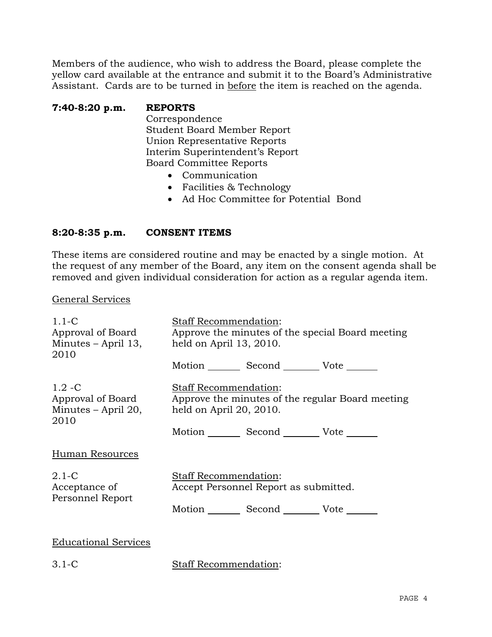Members of the audience, who wish to address the Board, please complete the yellow card available at the entrance and submit it to the Board's Administrative Assistant. Cards are to be turned in before the item is reached on the agenda.

### **7:40-8:20 p.m. REPORTS**

 Correspondence Student Board Member Report Union Representative Reports Interim Superintendent's Report Board Committee Reports

- Communication
- Facilities & Technology
- Ad Hoc Committee for Potential Bond

### **8:20-8:35 p.m. CONSENT ITEMS**

These items are considered routine and may be enacted by a single motion. At the request of any member of the Board, any item on the consent agenda shall be removed and given individual consideration for action as a regular agenda item.

#### General Services

| $1.1 - C$<br>Approval of Board<br>Minutes – April 13,<br>2010 | <b>Staff Recommendation:</b><br>held on April $13, 2010$ . | Motion _________ Second __________ Vote _______             | Approve the minutes of the special Board meeting |
|---------------------------------------------------------------|------------------------------------------------------------|-------------------------------------------------------------|--------------------------------------------------|
| $1.2 - C$<br>Approval of Board<br>Minutes – April 20,<br>2010 | <b>Staff Recommendation:</b><br>held on April $20, 2010$ . | Motion _________ Second __________ Vote _______             | Approve the minutes of the regular Board meeting |
| Human Resources                                               |                                                            |                                                             |                                                  |
| $2.1-C$<br>Acceptance of<br>Personnel Report                  | <b>Staff Recommendation:</b>                               | Accept Personnel Report as submitted.<br>Motion Second Vote |                                                  |
| <b>Educational Services</b>                                   |                                                            |                                                             |                                                  |

3.1-C Staff Recommendation: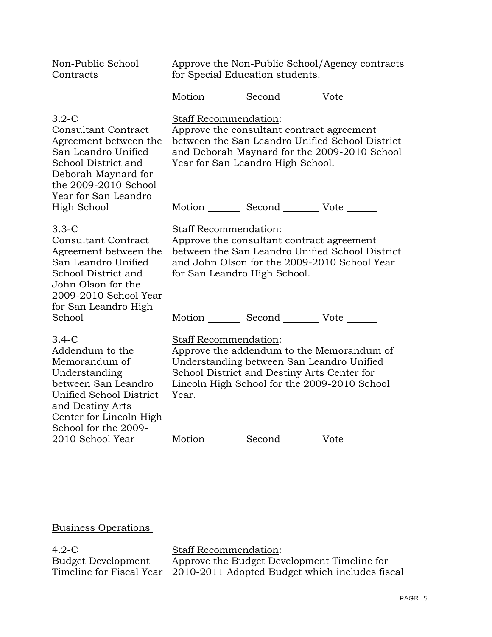| Non-Public School<br>Contracts                                                                                                                                                        | Approve the Non-Public School/Agency contracts<br>for Special Education students. |                                                                                                                                          |                                                                                                 |
|---------------------------------------------------------------------------------------------------------------------------------------------------------------------------------------|-----------------------------------------------------------------------------------|------------------------------------------------------------------------------------------------------------------------------------------|-------------------------------------------------------------------------------------------------|
|                                                                                                                                                                                       |                                                                                   | Motion Second Vote                                                                                                                       |                                                                                                 |
| $3.2 - C$<br><b>Consultant Contract</b><br>Agreement between the<br>San Leandro Unified<br>School District and<br>Deborah Maynard for<br>the 2009-2010 School<br>Year for San Leandro | Staff Recommendation:                                                             | Approve the consultant contract agreement<br>Year for San Leandro High School.                                                           | between the San Leandro Unified School District<br>and Deborah Maynard for the 2009-2010 School |
| High School                                                                                                                                                                           |                                                                                   | Motion _________ Second _________ Vote _______                                                                                           |                                                                                                 |
| $3.3 - C$<br><b>Consultant Contract</b><br>Agreement between the<br>San Leandro Unified<br>School District and<br>John Olson for the<br>2009-2010 School Year<br>for San Leandro High | Staff Recommendation:<br>for San Leandro High School.                             | Approve the consultant contract agreement                                                                                                | between the San Leandro Unified School District<br>and John Olson for the 2009-2010 School Year |
| School                                                                                                                                                                                |                                                                                   | Motion _________ Second __________ Vote _______                                                                                          |                                                                                                 |
| $3.4-C$<br>Addendum to the<br>Memorandum of<br>Understanding<br>between San Leandro<br>Unified School District<br>and Destiny Arts<br>Center for Lincoln High<br>School for the 2009- | Staff Recommendation:<br>Year.                                                    | Understanding between San Leandro Unified<br>School District and Destiny Arts Center for<br>Lincoln High School for the 2009-2010 School | Approve the addendum to the Memorandum of                                                       |
| 2010 School Year                                                                                                                                                                      |                                                                                   | Motion Second Vote                                                                                                                       |                                                                                                 |

Business Operations

4.2-C Budget Development Timeline for Fiscal Year Staff Recommendation:

Approve the Budget Development Timeline for 2010-2011 Adopted Budget which includes fiscal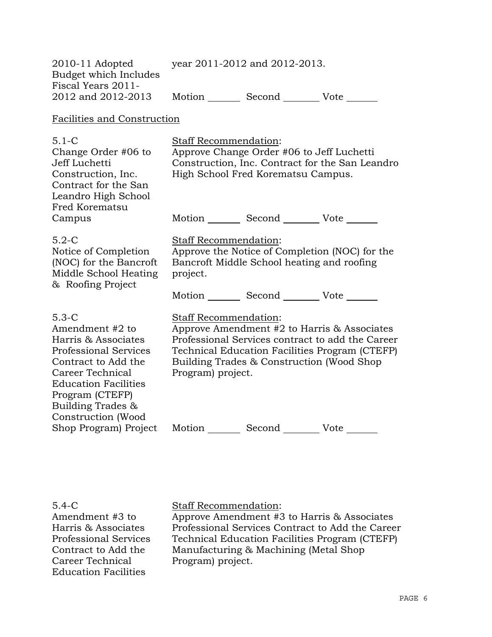| $2010-11$ Adopted     |        | year 2011-2012 and 2012-2013. |      |
|-----------------------|--------|-------------------------------|------|
| Budget which Includes |        |                               |      |
| Fiscal Years 2011-    |        |                               |      |
| 2012 and 2012-2013    | Motion | Second                        | Vote |

### Facilities and Construction

| $5.1 - C$<br>Change Order #06 to<br>Jeff Luchetti<br>Construction, Inc.<br>Contract for the San<br>Leandro High School<br>Fred Korematsu                                                                                  | <b>Staff Recommendation:</b><br>Approve Change Order #06 to Jeff Luchetti<br>Construction, Inc. Contract for the San Leandro<br>High School Fred Korematsu Campus.                                                                           |  |  |
|---------------------------------------------------------------------------------------------------------------------------------------------------------------------------------------------------------------------------|----------------------------------------------------------------------------------------------------------------------------------------------------------------------------------------------------------------------------------------------|--|--|
| Campus                                                                                                                                                                                                                    | Motion _________ Second __________ Vote _______                                                                                                                                                                                              |  |  |
| $5.2-C$<br>Notice of Completion<br>(NOC) for the Bancroft<br>Middle School Heating<br>& Roofing Project                                                                                                                   | <b>Staff Recommendation:</b><br>Approve the Notice of Completion (NOC) for the<br>Bancroft Middle School heating and roofing<br>project.                                                                                                     |  |  |
|                                                                                                                                                                                                                           | Motion Second Vote                                                                                                                                                                                                                           |  |  |
| $5.3-C$<br>Amendment #2 to<br>Harris & Associates<br><b>Professional Services</b><br>Contract to Add the<br>Career Technical<br><b>Education Facilities</b><br>Program (CTEFP)<br>Building Trades &<br>Construction (Wood | Staff Recommendation:<br>Approve Amendment #2 to Harris & Associates<br>Professional Services contract to add the Career<br>Technical Education Facilities Program (CTEFP)<br>Building Trades & Construction (Wood Shop<br>Program) project. |  |  |
| Shop Program) Project                                                                                                                                                                                                     | Motion<br>Second<br>Vote                                                                                                                                                                                                                     |  |  |

### 5.4-C

Amendment #3 to Harris & Associates Professional Services Contract to Add the Career Technical Education Facilities

### Staff Recommendation:

Approve Amendment #3 to Harris & Associates Professional Services Contract to Add the Career Technical Education Facilities Program (CTEFP) Manufacturing & Machining (Metal Shop Program) project.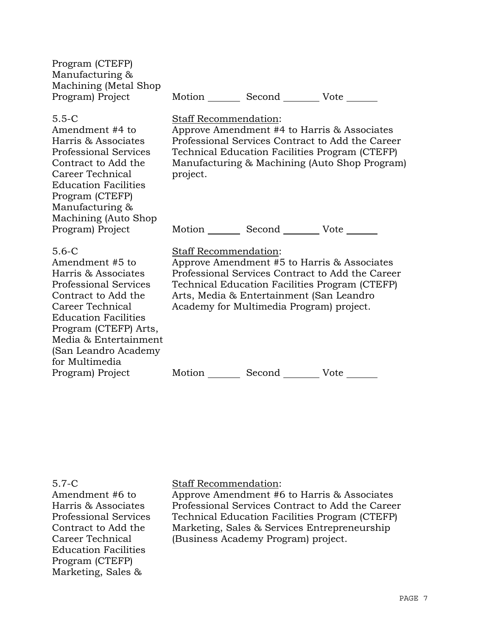| Program (CTEFP)        |        |        |      |
|------------------------|--------|--------|------|
| Manufacturing &        |        |        |      |
| Machining (Metal Shop) |        |        |      |
| Program) Project       | Motion | Second | Vote |
|                        |        |        |      |

Staff Recommendation:

project.

#### 5.5-C

Amendment #4 to Harris & Associates Professional Services Contract to Add the Career Technical Education Facilities Program (CTEFP) Manufacturing & Machining (Auto Shop Program) Project

Motion Second Vote

#### 5.6-C

Amendment #5 to Harris & Associates Professional Services Contract to Add the Career Technical Education Facilities Program (CTEFP) Arts, Media & Entertainment (San Leandro Academy for Multimedia Program) Project

### Staff Recommendation:

Approve Amendment #5 to Harris & Associates Professional Services Contract to Add the Career Technical Education Facilities Program (CTEFP) Arts, Media & Entertainment (San Leandro Academy for Multimedia Program) project.

Approve Amendment #4 to Harris & Associates Professional Services Contract to Add the Career Technical Education Facilities Program (CTEFP) Manufacturing & Machining (Auto Shop Program)

Motion Second Vote

#### 5.7-C

Amendment #6 to Harris & Associates Professional Services Contract to Add the Career Technical Education Facilities Program (CTEFP) Marketing, Sales &

#### Staff Recommendation:

Approve Amendment #6 to Harris & Associates Professional Services Contract to Add the Career Technical Education Facilities Program (CTEFP) Marketing, Sales & Services Entrepreneurship (Business Academy Program) project.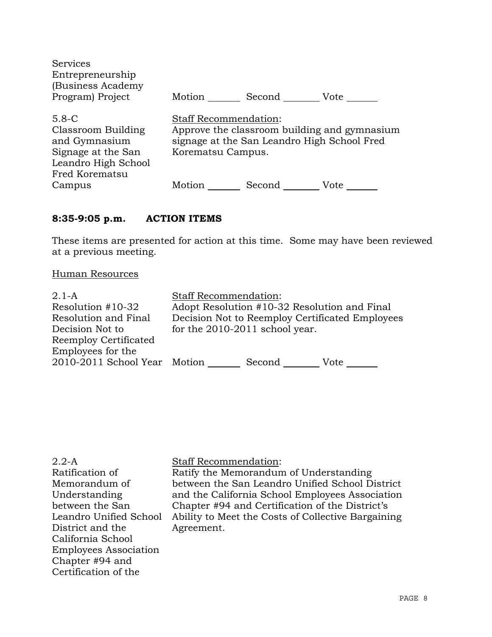| <b>Services</b><br>Entrepreneurship<br>(Business Academy)                                                       |                                                   |                                             |                                              |
|-----------------------------------------------------------------------------------------------------------------|---------------------------------------------------|---------------------------------------------|----------------------------------------------|
| Program) Project                                                                                                | Motion                                            | Second                                      | Vote                                         |
| $5.8 - C$<br>Classroom Building<br>and Gymnasium<br>Signage at the San<br>Leandro High School<br>Fred Korematsu | <b>Staff Recommendation:</b><br>Korematsu Campus. | signage at the San Leandro High School Fred | Approve the classroom building and gymnasium |
| Campus                                                                                                          | Motion                                            | Second                                      | Vote                                         |

# **8:35-9:05 p.m. ACTION ITEMS**

These items are presented for action at this time. Some may have been reviewed at a previous meeting.

### Human Resources

| $2.1-A$                      | <b>Staff Recommendation:</b>                    |        |      |
|------------------------------|-------------------------------------------------|--------|------|
| Resolution #10-32            | Adopt Resolution #10-32 Resolution and Final    |        |      |
| Resolution and Final         | Decision Not to Reemploy Certificated Employees |        |      |
| Decision Not to              | for the 2010-2011 school year.                  |        |      |
| Reemploy Certificated        |                                                 |        |      |
| Employees for the            |                                                 |        |      |
| 2010-2011 School Year Motion |                                                 | Second | Vote |
|                              |                                                 |        |      |

| $2.2-A$                      | <b>Staff Recommendation:</b>                       |
|------------------------------|----------------------------------------------------|
| Ratification of              | Ratify the Memorandum of Understanding             |
| Memorandum of                | between the San Leandro Unified School District    |
| Understanding                | and the California School Employees Association    |
| between the San              | Chapter #94 and Certification of the District's    |
| Leandro Unified School       | Ability to Meet the Costs of Collective Bargaining |
| District and the             | Agreement.                                         |
| California School            |                                                    |
| <b>Employees Association</b> |                                                    |
| Chapter #94 and              |                                                    |
| Certification of the         |                                                    |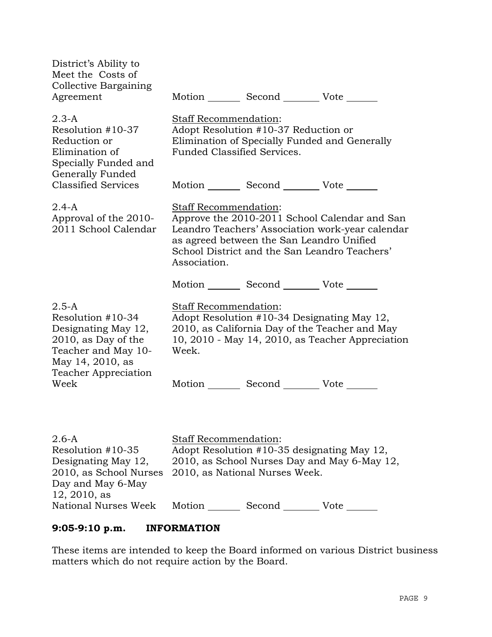| District's Ability to<br>Meet the Costs of<br>Collective Bargaining<br>Agreement                                        |                                                      | Motion _________ Second __________ Vote _______                               |                                                                                                                                                    |
|-------------------------------------------------------------------------------------------------------------------------|------------------------------------------------------|-------------------------------------------------------------------------------|----------------------------------------------------------------------------------------------------------------------------------------------------|
| $2.3-A$<br>Resolution #10-37<br>Reduction or<br>Elimination of<br>Specially Funded and<br>Generally Funded              | Staff Recommendation:<br>Funded Classified Services. | Adopt Resolution #10-37 Reduction or                                          | Elimination of Specially Funded and Generally                                                                                                      |
| <b>Classified Services</b>                                                                                              |                                                      | Motion _________ Second __________ Vote _______                               |                                                                                                                                                    |
| $2.4 - A$<br>Approval of the 2010-<br>2011 School Calendar                                                              | Staff Recommendation:<br>Association.                | as agreed between the San Leandro Unified                                     | Approve the 2010-2011 School Calendar and San<br>Leandro Teachers' Association work-year calendar<br>School District and the San Leandro Teachers' |
|                                                                                                                         |                                                      | Motion _________ Second __________ Vote _______                               |                                                                                                                                                    |
| $2.5 - A$<br>Resolution #10-34<br>Designating May 12,<br>2010, as Day of the<br>Teacher and May 10-<br>May 14, 2010, as | <b>Staff Recommendation:</b><br>Week.                | Adopt Resolution #10-34 Designating May 12,                                   | 2010, as California Day of the Teacher and May<br>10, 2010 - May 14, 2010, as Teacher Appreciation                                                 |
| Teacher Appreciation<br>Week                                                                                            |                                                      | Motion _________ Second __________ Vote _______                               |                                                                                                                                                    |
| $2.6-A$<br>Resolution #10-35<br>Designating May 12,<br>2010, as School Nurses<br>Day and May 6-May<br>12, 2010, as      | Staff Recommendation:                                | Adopt Resolution #10-35 designating May 12,<br>2010, as National Nurses Week. | 2010, as School Nurses Day and May 6-May 12,                                                                                                       |

National Nurses Week Motion Second Vote

## **9:05-9:10 p.m. INFORMATION**

These items are intended to keep the Board informed on various District business matters which do not require action by the Board.